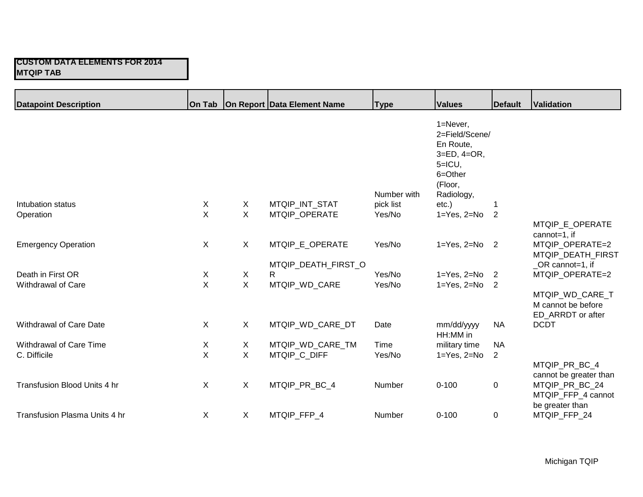| <b>Datapoint Description</b>  |              |              | On Tab   On Report   Data Element Name | <b>Type</b> | <b>Values</b>                                                                                                 | <b>Default</b> | <b>Validation</b>                                                               |
|-------------------------------|--------------|--------------|----------------------------------------|-------------|---------------------------------------------------------------------------------------------------------------|----------------|---------------------------------------------------------------------------------|
|                               |              |              |                                        | Number with | 1=Never,<br>2=Field/Scene/<br>En Route,<br>$3=ED$ , $4=OR$ ,<br>$5=ICU$ ,<br>6=Other<br>(Floor,<br>Radiology, |                |                                                                                 |
| Intubation status             | X            | X            | MTQIP_INT_STAT                         | pick list   | $etc.$ )                                                                                                      | 1              |                                                                                 |
| Operation                     | $\mathsf{X}$ | $\mathsf{X}$ | MTQIP OPERATE                          | Yes/No      | $1 = Yes, 2 = No$                                                                                             | 2              |                                                                                 |
|                               |              |              |                                        |             |                                                                                                               |                | MTQIP_E_OPERATE<br>cannot=1, if                                                 |
| <b>Emergency Operation</b>    | $\mathsf{X}$ | X            | MTQIP_E_OPERATE                        | Yes/No      | $1 = Yes$ , $2 = No$ 2                                                                                        |                | MTQIP OPERATE=2<br>MTQIP_DEATH_FIRST                                            |
|                               |              |              | MTQIP_DEATH_FIRST_O                    |             |                                                                                                               |                | _OR cannot=1, if                                                                |
| Death in First OR             | X            | X            | R                                      | Yes/No      | $1 = Yes, 2 = No$                                                                                             | $\overline{2}$ | MTQIP OPERATE=2                                                                 |
| Withdrawal of Care            | $\mathsf{X}$ | $\mathsf{X}$ | MTQIP_WD_CARE                          | Yes/No      | $1 = Yes$ , $2 = No$ 2                                                                                        |                |                                                                                 |
|                               |              |              |                                        |             |                                                                                                               |                | MTQIP WD CARE T<br>M cannot be before<br>ED_ARRDT or after                      |
| Withdrawal of Care Date       | $\mathsf{X}$ | $\mathsf{X}$ | MTQIP_WD_CARE_DT                       | Date        | mm/dd/yyyy<br>HH:MM in                                                                                        | <b>NA</b>      | <b>DCDT</b>                                                                     |
| Withdrawal of Care Time       | X            | X            | MTQIP_WD_CARE_TM                       | Time        | military time                                                                                                 | <b>NA</b>      |                                                                                 |
| C. Difficile                  | X            | $\mathsf{X}$ | MTQIP_C_DIFF                           | Yes/No      | $1 = Yes, 2 = No$                                                                                             | $\overline{2}$ |                                                                                 |
| Transfusion Blood Units 4 hr  | $\mathsf{X}$ | X            | MTQIP_PR_BC_4                          | Number      | $0 - 100$                                                                                                     | 0              | MTQIP_PR_BC_4<br>cannot be greater than<br>MTQIP_PR_BC_24<br>MTQIP_FFP_4 cannot |
| Transfusion Plasma Units 4 hr | $\mathsf{X}$ | X            | MTQIP_FFP_4                            | Number      | $0 - 100$                                                                                                     | 0              | be greater than<br>MTQIP_FFP_24                                                 |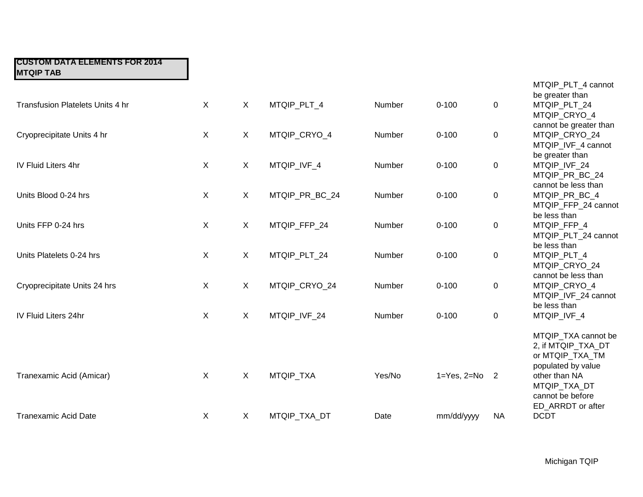| Transfusion Platelets Units 4 hr | $\sf X$      | $\sf X$      | MTQIP_PLT_4    | Number | $0 - 100$         | 0              | be greater than<br>MTQIP_PLT_24                                                                                                         |
|----------------------------------|--------------|--------------|----------------|--------|-------------------|----------------|-----------------------------------------------------------------------------------------------------------------------------------------|
| Cryoprecipitate Units 4 hr       | $\mathsf{X}$ | $\mathsf{X}$ | MTQIP_CRYO_4   | Number | $0 - 100$         | 0              | MTQIP_CRYO_4<br>cannot be greater than<br>MTQIP_CRYO_24<br>MTQIP IVF 4 cannot                                                           |
| <b>IV Fluid Liters 4hr</b>       | $\mathsf{X}$ | X            | MTQIP_IVF_4    | Number | $0 - 100$         | 0              | be greater than<br>MTQIP_IVF_24<br>MTQIP_PR_BC_24<br>cannot be less than                                                                |
| Units Blood 0-24 hrs             | $\sf X$      | $\sf X$      | MTQIP_PR_BC_24 | Number | $0 - 100$         | 0              | MTQIP_PR_BC_4<br>MTQIP_FFP_24 cannot                                                                                                    |
| Units FFP 0-24 hrs               | $\sf X$      | $\sf X$      | MTQIP_FFP_24   | Number | $0 - 100$         | 0              | be less than<br>MTQIP_FFP_4<br>MTQIP_PLT_24 cannot                                                                                      |
| Units Platelets 0-24 hrs         | X            | $\mathsf{X}$ | MTQIP_PLT_24   | Number | $0 - 100$         | 0              | be less than<br>MTQIP_PLT_4<br>MTQIP_CRYO_24                                                                                            |
| Cryoprecipitate Units 24 hrs     | $\sf X$      | $\sf X$      | MTQIP_CRYO_24  | Number | $0 - 100$         | 0              | cannot be less than<br>MTQIP_CRYO_4<br>MTQIP_IVF_24 cannot<br>be less than                                                              |
| IV Fluid Liters 24hr             | $\sf X$      | $\sf X$      | MTQIP_IVF_24   | Number | $0 - 100$         | 0              | MTQIP_IVF_4                                                                                                                             |
| Tranexamic Acid (Amicar)         | $\mathsf{X}$ | X            | MTQIP_TXA      | Yes/No | $1 = Yes, 2 = No$ | $\overline{2}$ | MTQIP_TXA cannot be<br>2, if MTQIP TXA DT<br>or MTQIP_TXA_TM<br>populated by value<br>other than NA<br>MTQIP_TXA_DT<br>cannot be before |
| <b>Tranexamic Acid Date</b>      | $\sf X$      | $\sf X$      | MTQIP_TXA_DT   | Date   | mm/dd/yyyy        | <b>NA</b>      | ED_ARRDT or after<br><b>DCDT</b>                                                                                                        |
|                                  |              |              |                |        |                   |                |                                                                                                                                         |

MTQIP\_PLT\_4 cannot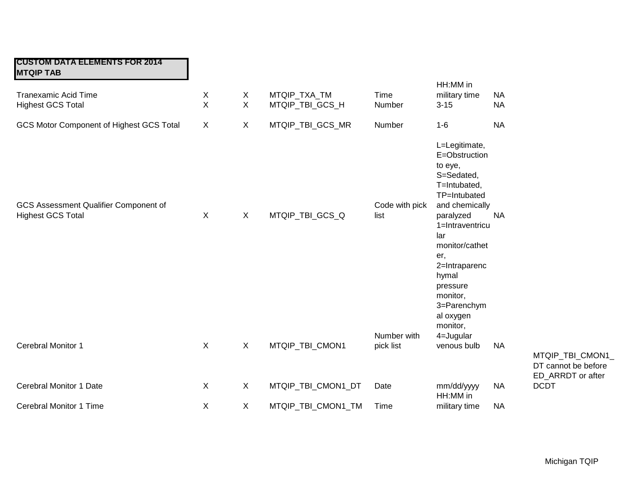| <b>CUSTOM DATA ELEMENTS FOR 2014</b><br><b>MTQIP TAB</b>          |                   |                   |                                 |                          |                                                                                                                                                                                                                                                                     |                        |                                                         |
|-------------------------------------------------------------------|-------------------|-------------------|---------------------------------|--------------------------|---------------------------------------------------------------------------------------------------------------------------------------------------------------------------------------------------------------------------------------------------------------------|------------------------|---------------------------------------------------------|
| <b>Tranexamic Acid Time</b><br><b>Highest GCS Total</b>           | X<br>$\mathsf{X}$ | X<br>$\mathsf{X}$ | MTQIP_TXA_TM<br>MTQIP_TBI_GCS_H | Time<br>Number           | HH:MM in<br>military time<br>$3 - 15$                                                                                                                                                                                                                               | <b>NA</b><br><b>NA</b> |                                                         |
| <b>GCS Motor Component of Highest GCS Total</b>                   | $\sf X$           | X                 | MTQIP_TBI_GCS_MR                | Number                   | $1 - 6$                                                                                                                                                                                                                                                             | <b>NA</b>              |                                                         |
| GCS Assessment Qualifier Component of<br><b>Highest GCS Total</b> | $\sf X$           | $\sf X$           | MTQIP_TBI_GCS_Q                 | Code with pick<br>list   | L=Legitimate,<br>E=Obstruction<br>to eye,<br>S=Sedated,<br>T=Intubated,<br>TP=Intubated<br>and chemically<br>paralyzed<br>1=Intraventricu<br>lar<br>monitor/cathet<br>er,<br>2=Intraparenc<br>hymal<br>pressure<br>monitor,<br>3=Parenchym<br>al oxygen<br>monitor, | <b>NA</b>              |                                                         |
| Cerebral Monitor 1                                                | X                 | X                 | MTQIP_TBI_CMON1                 | Number with<br>pick list | 4=Jugular<br>venous bulb                                                                                                                                                                                                                                            | <b>NA</b>              | MTQIP_TBI_CMON1_                                        |
| <b>Cerebral Monitor 1 Date</b>                                    | X                 | X                 |                                 | Date                     |                                                                                                                                                                                                                                                                     | <b>NA</b>              | DT cannot be before<br>ED_ARRDT or after<br><b>DCDT</b> |
|                                                                   |                   |                   | MTQIP_TBI_CMON1_DT              |                          | mm/dd/yyyy<br>HH:MM in                                                                                                                                                                                                                                              |                        |                                                         |
| Cerebral Monitor 1 Time                                           | X                 | X                 | MTQIP_TBI_CMON1_TM              | Time                     | military time                                                                                                                                                                                                                                                       | <b>NA</b>              |                                                         |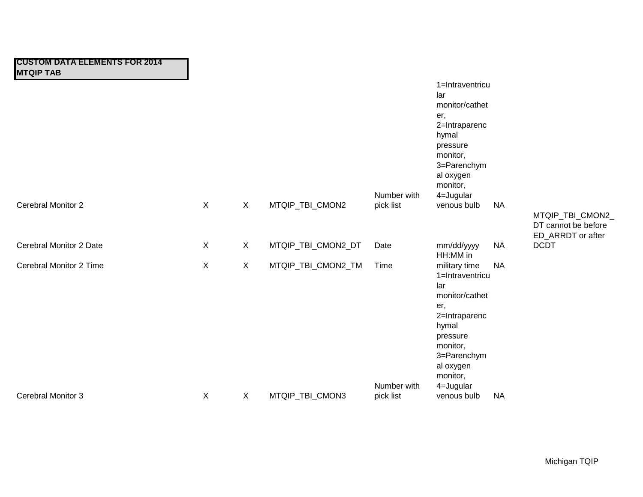| Cerebral Monitor 2        | X            | X            | MTQIP_TBI_CMON2    | Number with<br>pick list | 1=Intraventricu<br>lar<br>monitor/cathet<br>er,<br>2=Intraparenc<br>hymal<br>pressure<br>monitor,<br>3=Parenchym<br>al oxygen<br>monitor,<br>4=Jugular<br>venous bulb   | <b>NA</b> |                                                              |
|---------------------------|--------------|--------------|--------------------|--------------------------|-------------------------------------------------------------------------------------------------------------------------------------------------------------------------|-----------|--------------------------------------------------------------|
|                           |              |              |                    |                          |                                                                                                                                                                         |           | MTQIP_TBI_CMON2_<br>DT cannot be before<br>ED_ARRDT or after |
| Cerebral Monitor 2 Date   | X            | X            | MTQIP_TBI_CMON2_DT | Date                     | mm/dd/yyyy<br>HH:MM in                                                                                                                                                  | <b>NA</b> | <b>DCDT</b>                                                  |
| Cerebral Monitor 2 Time   | $\mathsf{X}$ | $\mathsf{X}$ | MTQIP_TBI_CMON2_TM | Time<br>Number with      | military time<br>1=Intraventricu<br>lar<br>monitor/cathet<br>er,<br>2=Intraparenc<br>hymal<br>pressure<br>monitor,<br>3=Parenchym<br>al oxygen<br>monitor,<br>4=Jugular | <b>NA</b> |                                                              |
| <b>Cerebral Monitor 3</b> | X            | X            | MTQIP_TBI_CMON3    | pick list                | venous bulb                                                                                                                                                             | <b>NA</b> |                                                              |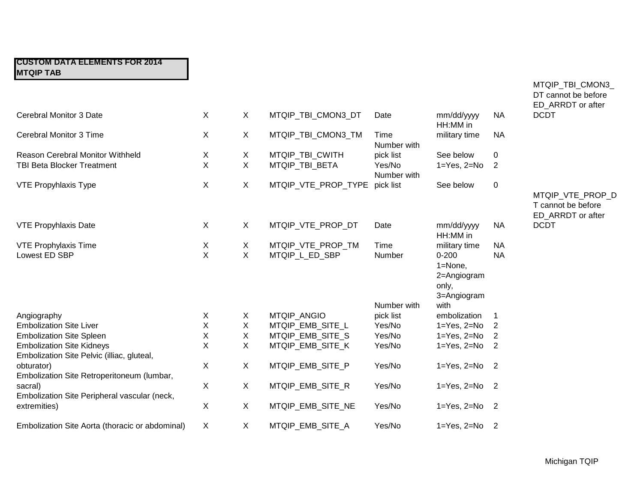|                                                                                |              |              |                     |                       |                                                             |                            | ED_ARRDT or after                                           |
|--------------------------------------------------------------------------------|--------------|--------------|---------------------|-----------------------|-------------------------------------------------------------|----------------------------|-------------------------------------------------------------|
| <b>Cerebral Monitor 3 Date</b>                                                 | X            | X            | MTQIP_TBI_CMON3_DT  | Date                  | mm/dd/yyyy<br>HH:MM in                                      | <b>NA</b>                  | <b>DCDT</b>                                                 |
| Cerebral Monitor 3 Time                                                        | X            | X            | MTQIP_TBI_CMON3_TM  | Time<br>Number with   | military time                                               | <b>NA</b>                  |                                                             |
| Reason Cerebral Monitor Withheld                                               | X            | X            | MTQIP TBI CWITH     | pick list             | See below                                                   | 0                          |                                                             |
| <b>TBI Beta Blocker Treatment</b>                                              | X            | X            | MTQIP_TBI_BETA      | Yes/No<br>Number with | $1 = Yes, 2 = No$                                           | 2                          |                                                             |
| <b>VTE Propyhlaxis Type</b>                                                    | X            | X            | MTQIP VTE PROP TYPE | pick list             | See below                                                   | $\mathbf 0$                |                                                             |
|                                                                                |              |              |                     |                       |                                                             |                            | MTQIP_VTE_PROP_D<br>T cannot be before<br>ED_ARRDT or after |
| <b>VTE Propyhlaxis Date</b>                                                    | $\mathsf{X}$ | X            | MTQIP VTE PROP DT   | Date                  | mm/dd/yyyy<br>HH:MM in                                      | <b>NA</b>                  | <b>DCDT</b>                                                 |
| <b>VTE Prophylaxis Time</b>                                                    | X            | X            | MTQIP_VTE_PROP_TM   | Time                  | military time                                               | <b>NA</b>                  |                                                             |
| Lowest ED SBP                                                                  | X            | X            | MTQIP_L_ED_SBP      | Number                | $0 - 200$<br>1=None,<br>2=Angiogram<br>only,<br>3=Angiogram | <b>NA</b>                  |                                                             |
|                                                                                |              |              |                     | Number with           | with                                                        |                            |                                                             |
| Angiography                                                                    | X            | X            | <b>MTQIP ANGIO</b>  | pick list             | embolization                                                | -1                         |                                                             |
| <b>Embolization Site Liver</b>                                                 | Χ            | X            | MTQIP_EMB_SITE_L    | Yes/No                | $1 = Yes$ , $2 = No$                                        | 2                          |                                                             |
| <b>Embolization Site Spleen</b>                                                | X            | $\mathsf X$  | MTQIP_EMB_SITE_S    | Yes/No                | $1 = Yes$ , $2 = No$                                        | $\overline{2}$             |                                                             |
| <b>Embolization Site Kidneys</b><br>Embolization Site Pelvic (illiac, gluteal, | X            | X            | MTQIP_EMB_SITE_K    | Yes/No                | $1 = Yes, 2 = No$                                           | $\overline{2}$             |                                                             |
| obturator)<br>Embolization Site Retroperitoneum (lumbar,                       | X            | X            | MTQIP_EMB_SITE_P    | Yes/No                | $1 = Yes, 2 = No$                                           | $\overline{\phantom{0}}^2$ |                                                             |
| sacral)<br>Embolization Site Peripheral vascular (neck,                        | X            | X            | MTQIP_EMB_SITE_R    | Yes/No                | $1 = Yes, 2 = No$                                           | $\overline{\phantom{0}}^2$ |                                                             |
| extremities)                                                                   | X            | X            | MTQIP_EMB_SITE_NE   | Yes/No                | $1 = Yes, 2 = No$                                           | $\overline{\phantom{0}}$   |                                                             |
| Embolization Site Aorta (thoracic or abdominal)                                | X            | $\mathsf{X}$ | MTQIP_EMB_SITE_A    | Yes/No                | $1 = Yes, 2 = No$ 2                                         |                            |                                                             |

MTQIP\_TBI\_CMON3\_ DT cannot be before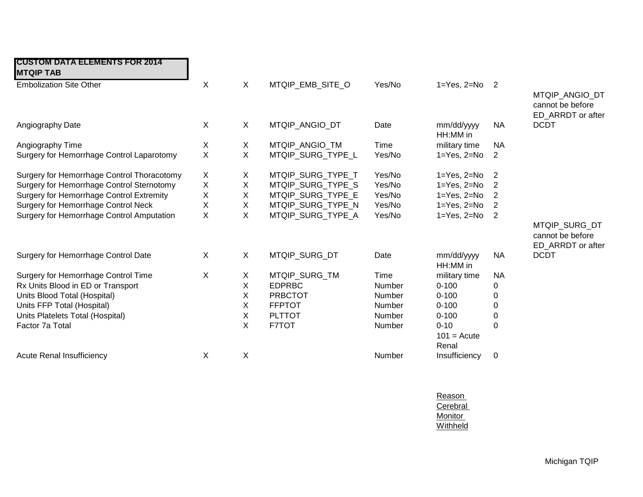| <b>CUSTOM DATA ELEMENTS FOR 2014</b><br><b>MTQIP TAB</b> |             |              |                   |        |                                    |                            |                                                         |
|----------------------------------------------------------|-------------|--------------|-------------------|--------|------------------------------------|----------------------------|---------------------------------------------------------|
| <b>Embolization Site Other</b>                           | $\mathsf X$ | $\mathsf{X}$ | MTQIP_EMB_SITE_O  | Yes/No | $1 = Yes, 2 = No$ 2                |                            | MTQIP_ANGIO_DT<br>cannot be before<br>ED_ARRDT or after |
| Angiography Date                                         | X           | X            | MTQIP ANGIO DT    | Date   | mm/dd/yyyy<br>HH:MM in             | <b>NA</b>                  | <b>DCDT</b>                                             |
| Angiography Time                                         | X           | X            | MTQIP ANGIO TM    | Time   | military time                      | <b>NA</b>                  |                                                         |
| Surgery for Hemorrhage Control Laparotomy                | X           | $\mathsf{X}$ | MTQIP_SURG_TYPE_L | Yes/No | $1 = Yes, 2 = No$                  | 2                          |                                                         |
| Surgery for Hemorrhage Control Thoracotomy               | X           | X            | MTQIP_SURG_TYPE_T | Yes/No | $1 = Yes, 2 = No$                  | $\overline{\phantom{0}}^2$ |                                                         |
| Surgery for Hemorrhage Control Sternotomy                | X           | X            | MTQIP SURG TYPE S | Yes/No | $1 = Yes, 2 = No$                  | $\overline{2}$             |                                                         |
| Surgery for Hemorrhage Control Extremity                 | X           | X            | MTQIP_SURG_TYPE_E | Yes/No | $1 = Yes$ , $2 = No$               | $\overline{2}$             |                                                         |
| Surgery for Hemorrhage Control Neck                      | X           | X            | MTQIP_SURG_TYPE_N | Yes/No | $1 = Yes, 2 = No$                  | $\overline{2}$             |                                                         |
| Surgery for Hemorrhage Control Amputation                | X           | X            | MTQIP_SURG_TYPE_A | Yes/No | $1 = Yes, 2 = No$                  | $\overline{2}$             |                                                         |
|                                                          |             |              |                   |        |                                    |                            | MTQIP SURG DT<br>cannot be before<br>ED_ARRDT or after  |
| Surgery for Hemorrhage Control Date                      | X           | $\mathsf{X}$ | MTQIP_SURG_DT     | Date   | mm/dd/yyyy<br>HH:MM in             | <b>NA</b>                  | <b>DCDT</b>                                             |
| Surgery for Hemorrhage Control Time                      | X           | X            | MTQIP_SURG_TM     | Time   | military time                      | <b>NA</b>                  |                                                         |
| Rx Units Blood in ED or Transport                        |             | X            | <b>EDPRBC</b>     | Number | $0 - 100$                          | 0                          |                                                         |
| Units Blood Total (Hospital)                             |             | Χ            | <b>PRBCTOT</b>    | Number | $0 - 100$                          | 0                          |                                                         |
| Units FFP Total (Hospital)                               |             | Χ            | <b>FFPTOT</b>     | Number | $0 - 100$                          | 0                          |                                                         |
| Units Platelets Total (Hospital)                         |             | X            | <b>PLTTOT</b>     | Number | $0 - 100$                          | 0                          |                                                         |
| Factor 7a Total                                          |             | X            | F7TOT             | Number | $0 - 10$<br>$101 = Acute$<br>Renal | $\Omega$                   |                                                         |
| <b>Acute Renal Insufficiency</b>                         | X           | X            |                   | Number | Insufficiency                      | 0                          |                                                         |

Reason **Cerebral Monitor Withheld**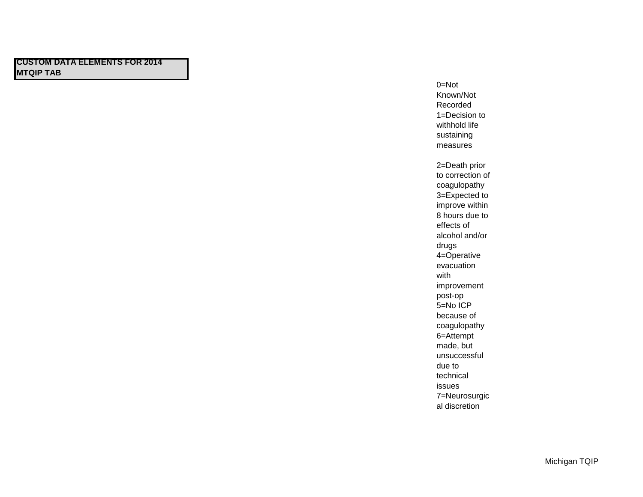0=Not Known/Not Recorded 1=Decision to withhold life sustaining measures 2=Death prior to correction of coagulopathy 3=Expected to improve within 8 hours due to effects of alcohol and/or drugs 4=Operative evacuation with improvement post-op 5=No ICP because of coagulopathy 6=Attempt made, but unsuccessful due to technical issues 7=Neurosurgic al discretion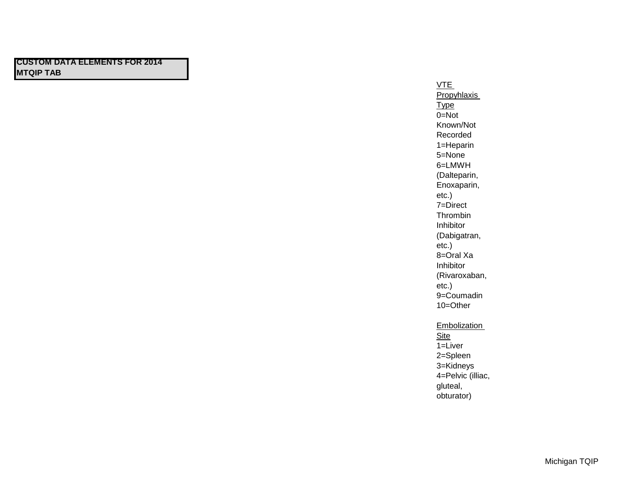VTE **Propyhlaxis Type** 0=Not Known/Not Recorded 1=Heparin 5=None 6=LMWH (Dalteparin, Enoxaparin, etc.) 7=Direct Thrombin Inhibitor (Dabigatran, etc.) 8=Oral Xa Inhibitor (Rivaroxaban, etc.) 9=Coumadin 10=Other

#### Embolization

**Site** 1=Liver 2=Spleen 3=Kidneys 4=Pelvic (illiac, gluteal, obturator)